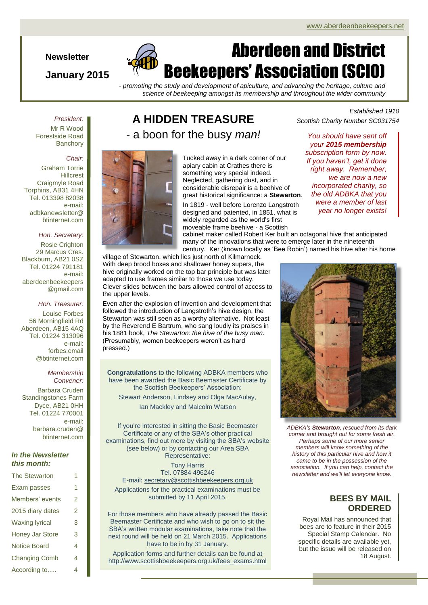#### **Newsletter**

#### **January 2015**

# Aberdeen and District Beekeepers' Association (SCIO)

*- promoting the study and development of apiculture, and advancing the heritage, culture and science of beekeeping amongst its membership and throughout the wider community*

*President:* Mr R Wood

Forestside Road **Banchory** 

#### *Chair:*

Graham Torrie **Hillcrest** Craigmyle Road Torphins, AB31 4HN Tel. 013398 82038 e-mail: adbkanewsletter@ btinternet.com

#### *Hon. Secretary:*

Rosie Crighton 29 Marcus Cres. Blackburn, AB21 0SZ Tel. 01224 791181 e-mail: aberdeenbeekeepers @gmail.com

#### *Hon. Treasurer:*

Louise Forbes 56 Morningfield Rd Aberdeen, AB15 4AQ Tel. 01224 313096 e-mail: forbes.email @btinternet.com

#### *Membership Convener:*

Barbara Cruden Standingstones Farm Dyce, AB21 0HH Tel. 01224 770001 e-mail: barbara.cruden@ btinternet.com

#### *In the Newsletter this month:*

| <b>The Stewarton</b>   | 1 |
|------------------------|---|
| Exam passes            | 1 |
| Members' events        | 2 |
| 2015 diary dates       | 2 |
| <b>Waxing lyrical</b>  | 3 |
| <b>Honey Jar Store</b> | 3 |
| <b>Notice Board</b>    | 4 |
| <b>Changing Comb</b>   | 4 |
| According to           | 4 |

## **A HIDDEN TREASURE** - a boon for the busy *man!*



Tucked away in a dark corner of our apiary cabin at Crathes there is something very special indeed. Neglected, gathering dust, and in considerable disrepair is a beehive of great historical significance: a **Stewarton**.

In 1819 - well before Lorenzo Langstroth designed and patented, in 1851, what is widely regarded as the world's first moveable frame beehive - a Scottish

*Established 1910 Scottish Charity Number SC031754*

*You should have sent off your 2015 membership subscription form by now. If you haven't, get it done right away. Remember, we are now a new incorporated charity, so the old ADBKA that you were a member of last year no longer exists!*

cabinet maker called Robert Ker built an octagonal hive that anticipated many of the innovations that were to emerge later in the nineteenth century. Ker (known locally as 'Bee Robin') named his hive after his home

village of Stewarton, which lies just north of Kilmarnock. With deep brood boxes and shallower honey supers, the hive originally worked on the top bar principle but was later adapted to use frames similar to those we use today. Clever slides between the bars allowed control of access to the upper levels.

Even after the explosion of invention and development that followed the introduction of Langstroth's hive design, the Stewarton was still seen as a worthy alternative. Not least by the Reverend E Bartrum, who sang loudly its praises in his 1881 book, *The Stewarton: the hive of the busy man*. (Presumably, women beekeepers weren't as hard pressed.)

**Congratulations** to the following ADBKA members who have been awarded the Basic Beemaster Certificate by the Scottish Beekeepers' Association:

Stewart Anderson, Lindsey and Olga MacAulay, Ian Mackley and Malcolm Watson

If you're interested in sitting the Basic Beemaster Certificate or any of the SBA's other practical examinations, find out more by visiting the SBA's website (see below) or by contacting our Area SBA Representative:

Tony Harris Tel. 07884 496246 E-mail[: secretary@scottishbeekeepers.org.uk](mailto:secretary@scottishbeekeepers.org.uk) Applications for the practical examinations must be submitted by 11 April 2015.

For those members who have already passed the Basic Beemaster Certificate and who wish to go on to sit the SBA's written modular examinations, take note that the next round will be held on 21 March 2015. Applications have to be in by 31 January.

Application forms and further details can be found at [http://www.scottishbeekeepers.org.uk/fees\\_exams.html](http://www.scottishbeekeepers.org.uk/fees_exams.html)



*ADBKA's Stewarton, rescued from its dark corner and brought out for some fresh air. Perhaps some of our more senior members will know something of the history of this particular hive and how it came to be in the possession of the association. If you can help, contact the newsletter and we'll let everyone know.*

### **BEES BY MAIL ORDERED**

Royal Mail has announced that bees are to feature in their 2015 Special Stamp Calendar. No specific details are available yet, but the issue will be released on 18 August.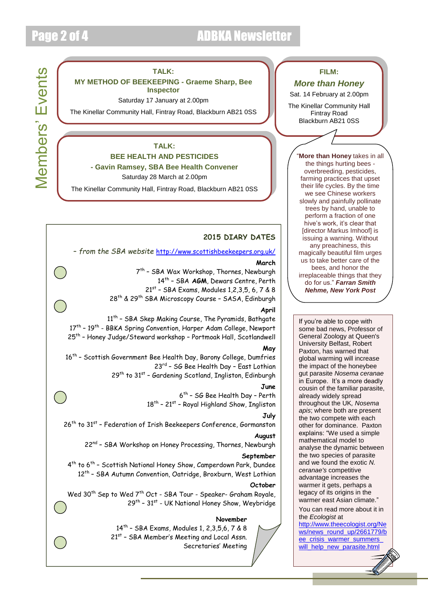## Page 2 of 4 ADBKA Newsletter

# **Members' Events** Members' Events

#### **TALK:**

#### **MY METHOD OF BEEKEEPING - Graeme Sharp, Bee Inspector**

Saturday 17 January at 2.00pm

The Kinellar Community Hall, Fintray Road, Blackburn AB21 0SS

#### **TALK: BEE HEALTH AND PESTICIDES**

#### **- Gavin Ramsey, SBA Bee Health Convener**

Saturday 28 March at 2.00pm

The Kinellar Community Hall, Fintray Road, Blackburn AB21 0SS

#### **2015 DIARY DATES**

#### – *from the SBA website* <http://www.scottishbeekeepers.org.uk/>

#### **March**

7 th – SBA Wax Workshop, Thornes, Newburgh 14th – SBA **AGM**, Dewars Centre, Perth 21<sup>st</sup> - SBA Exams, Modules 1,2,3,5, 6, 7 & 8

28th & 29th SBA Microscopy Course – SASA, Edinburgh

#### **April**

11<sup>th</sup> - SBA Skep Making Course, The Pyramids, Bathgate 17<sup>th</sup> – 19<sup>th</sup> - BBKA Spring Convention, Harper Adam College, Newport 25th – Honey Judge/Steward workshop – Portmoak Hall, Scotlandwell

#### **May**

16<sup>th</sup> - Scottish Government Bee Health Day, Barony College, Dumfries 23rd - SG Bee Health Day - East Lothian 29<sup>th</sup> to 31<sup>st</sup> - Gardening Scotland, Ingliston, Edinburgh

#### **June**

6 th – SG Bee Health Day – Perth 18<sup>th</sup> – 21<sup>st</sup> – Royal Highland Show, Ingliston

#### **July**

26<sup>th</sup> to 31<sup>st</sup> – Federation of Irish Beekeepers Conference, Gormanston

#### **August**

22<sup>nd</sup> - SBA Workshop on Honey Processing, Thornes, Newburgh

#### **September**

4<sup>th</sup> to 6<sup>th</sup> - Scottish National Honey Show, Camperdown Park, Dundee 12<sup>th</sup> - SBA Autumn Convention, Oatridge, Broxburn, West Lothian

#### **October**

Wed 30<sup>th</sup> Sep to Wed 7<sup>th</sup> Oct - SBA Tour - Speaker- Graham Royale, 29<sup>th</sup> - 31<sup>st</sup> - UK National Honey Show, Weybridge

#### **November**

14th – SBA Exams, Modules 1, 2,3,5,6, 7 & 8 21<sup>st</sup> - SBA Member's Meeting and Local Assn. Secretaries' Meeting

#### **FILM:**

#### *More than Honey*

Sat. 14 February at 2.00pm

The Kinellar Community Hall Fintray Road Blackburn AB21 0SS

> "**More than Honey** takes in all the things hurting bees overbreeding, pesticides, farming practices that upset their life cycles. By the time we see Chinese workers slowly and painfully pollinate trees by hand, unable to perform a fraction of one hive's work, it's clear that [director Markus Imhoof] is issuing a warning. Without any preachiness, this magically beautiful film urges us to take better care of the bees, and honor the irreplaceable things that they do for us." *Farran Smith Nehme, New York Post*

> If you're able to cope with some bad news, Professor of General Zoology at Queen's University Belfast, Robert Paxton, has warned that global warming will increase the impact of the honeybee gut parasite *Nosema ceranae* in Europe. It's a more deadly cousin of the familiar parasite, already widely spread throughout the UK*, Nosema apis*; where both are present the two compete with each other for dominance. Paxton explains: "We used a simple mathematical model to analyse the dynamic between the two species of parasite and we found the exotic *N. ceranae's* competitive advantage increases the warmer it gets, perhaps a legacy of its origins in the warmer east Asian climate."

#### You can read more about it in the *Ecologist* at

[http://www.theecologist.org/Ne](http://www.theecologist.org/News/news_round_up/2661779/bee_crisis_warmer_summers_will_help_new_parasite.html) [ws/news\\_round\\_up/2661779/b](http://www.theecologist.org/News/news_round_up/2661779/bee_crisis_warmer_summers_will_help_new_parasite.html) ee\_crisis\_warmer\_summers will help new parasite.html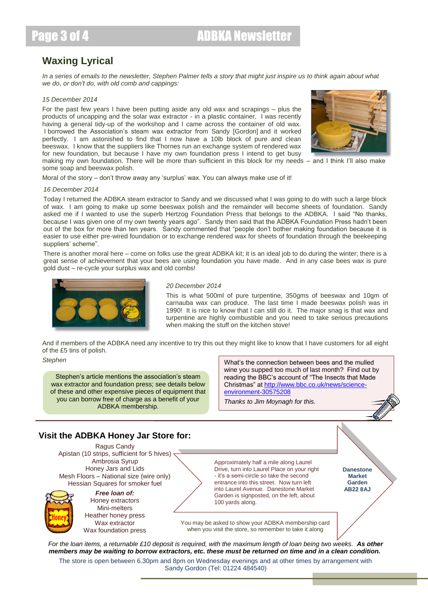## **Waxing Lyrical**

*In a series of emails to the newsletter, Stephen Palmer tells a story that might just inspire us to think again about what we do, or don't do, with old comb and cappings:*

#### *15 December 2014*

For the past few years I have been putting aside any old wax and scrapings – plus the products of uncapping and the solar wax extractor - in a plastic container. I was recently having a general tidy-up of the workshop and I came across the container of old wax. I borrowed the Association's steam wax extractor from Sandy [Gordon] and it worked perfectly. I am astonished to find that I now have a 10lb block of pure and clean beeswax. I know that the suppliers like Thornes run an exchange system of rendered wax for new foundation, but because I have my own foundation press I intend to get busy making my own foundation. There will be more than sufficient in this block for my needs – and I think I'll also make some soap and beeswax polish.



Moral of the story – don't throw away any 'surplus' wax. You can always make use of it!

#### *16 December 2014*

Today I returned the ADBKA steam extractor to Sandy and we discussed what I was going to do with such a large block of wax. I am going to make up some beeswax polish and the remainder will become sheets of foundation. Sandy asked me if I wanted to use the superb Hertzog Foundation Press that belongs to the ADBKA. I said "No thanks, because I was given one of my own twenty years ago". Sandy then said that the ADBKA Foundation Press hadn't been out of the box for more than ten years. Sandy commented that "people don't bother making foundation because it is easier to use either pre-wired foundation or to exchange rendered wax for sheets of foundation through the beekeeping suppliers' scheme".

There is another moral here – come on folks use the great ADBKA kit; it is an ideal job to do during the winter; there is a great sense of achievement that your bees are using foundation you have made. And in any case bees wax is pure gold dust – re-cycle your surplus wax and old combs!



#### *20 December 2014*

This is what 500ml of pure turpentine, 350gms of beeswax and 10gm of carnauba wax can produce. The last time I made beeswax polish was in 1990! It is nice to know that I can still do it. The major snag is that wax and turpentine are highly combustible and you need to take serious precautions when making the stuff on the kitchen stove!

And if members of the ADBKA need any incentive to try this out they might like to know that I have customers for all eight of the £5 tins of polish.

Stephen's article mentions the association's steam wax extractor and foundation press; see details below of these and other expensive pieces of equipment that you can borrow free of charge as a benefit of your ADBKA membership.

*Stephen* What's the connection between bees and the mulled wine you supped too much of last month? Find out by reading the BBC's account of "The Insects that Made Christmas" at [http://www.bbc.co.uk/news/science](http://www.bbc.co.uk/news/science-environment-30575208)[environment-30575208](http://www.bbc.co.uk/news/science-environment-30575208)

*Thanks to Jim Moynagh for this.*

#### **Visit the ADBKA Honey Jar Store for:**

Ragus Candy Apistan (10 strips, sufficient for 5 hives) Ambrosia Syrup Honey Jars and Lids Mesh Floors – National size (wire only) Hessian Squares for smoker fuel

*Free loan of:* Honey extractors Mini-melters Heather honey press Wax extractor Wax foundation press Approximately half a mile along Laurel Drive, turn into Laurel Place on your right - it's a semi-circle so take the second entrance into this street. Now turn left into Laurel Avenue. Danestone Market Garden is signposted, on the left, about 100 yards along.

**Danestone Market Garden AB22 8AJ**

You may be asked to show your ADBKA membership card when you visit the store, so remember to take it along

*For the loan items, a returnable £10 deposit is required, with the maximum length of loan being two weeks. As other members may be waiting to borrow extractors, etc. these must be returned on time and in a clean condition.*

The store is open between 6.30pm and 8pm on Wednesday evenings and at other times by arrangement with Sandy Gordon (Tel: 01224 484540)